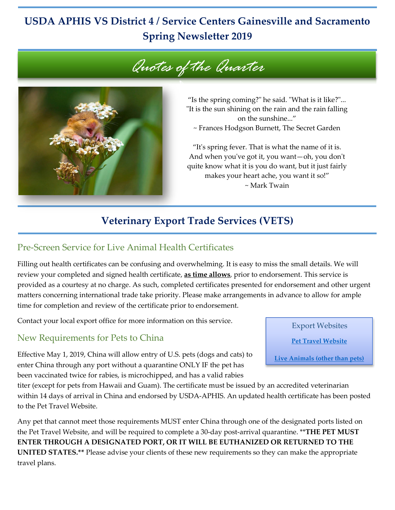# **USDA APHIS VS District 4 / Service Centers Gainesville and Sacramento Spring Newsletter 2019**





"Is the spring coming?" he said. "What is it like?"... "It is the sun shining on the rain and the rain falling on the sunshine..." ~ Frances Hodgson Burnett, The Secret Garden

"It's spring fever. That is what the name of it is. And when you've got it, you want—oh, you don't quite know what it is you do want, but it just fairly makes your heart ache, you want it so!" ~ Mark Twain

# **Veterinary Export Trade Services (VETS)**

#### Pre-Screen Service for Live Animal Health Certificates

Filling out health certificates can be confusing and overwhelming. It is easy to miss the small details. We will review your completed and signed health certificate, **as time allows**, prior to endorsement. This service is provided as a courtesy at no charge. As such, completed certificates presented for endorsement and other urgent matters concerning international trade take priority. Please make arrangements in advance to allow for ample time for completion and review of the certificate prior to endorsement.

Contact your local export office for more information on this service.

#### New Requirements for Pets to China

Effective May 1, 2019, China will allow entry of U.S. pets (dogs and cats) to enter China through any port without a quarantine ONLY IF the pet has been vaccinated twice for rabies, is microchipped, and has a valid rabies

titer (except for pets from Hawaii and Guam). The certificate must be issued by an accredited veterinarian within 14 days of arrival in China and endorsed by USDA-APHIS. An updated health certificate has been posted to the Pet Travel Website.

Any pet that cannot meet those requirements MUST enter China through one of the designated ports listed on the Pet Travel Website, and will be required to complete a 30-day post-arrival quarantine. \*\***THE PET MUST ENTER THROUGH A DESIGNATED PORT, OR IT WILL BE EUTHANIZED OR RETURNED TO THE UNITED STATES.\*\*** Please advise your clients of these new requirements so they can make the appropriate travel plans.

Export Websites

**[Pet Travel](https://www.aphis.usda.gov/aphis/pet-travel) Website**

**[Live Animals \(other than pets\)](https://www.aphis.usda.gov/aphis/ourfocus/animalhealth/export/iregs-for-animal-exports/ct_iregs_animal_exports_home)**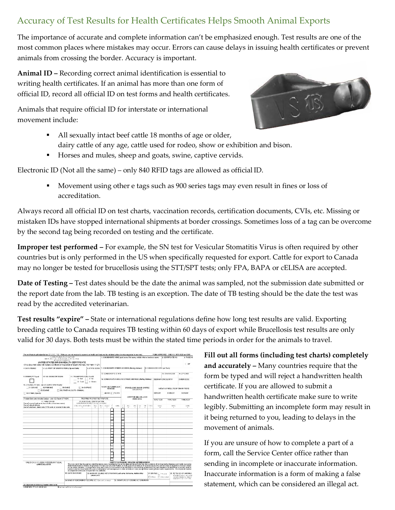# Accuracy of Test Results for Health Certificates Helps Smooth Animal Exports

The importance of accurate and complete information can't be emphasized enough. Test results are one of the most common places where mistakes may occur. Errors can cause delays in issuing health certificates or prevent animals from crossing the border. Accuracy is important.

**Animal ID –** Recording correct animal identification is essential to writing health certificates. If an animal has more than one form of official ID, record all official ID on test forms and health certificates.

Animals that require official ID for interstate or international movement include:



- All sexually intact beef cattle 18 months of age or older, dairy cattle of any age, cattle used for rodeo, show or exhibition and bison.
- Horses and mules, sheep and goats, swine, captive cervids.

Electronic ID (Not all the same) – only 840 RFID tags are allowed as officialID.

**Movement using other e tags such as 900 series tags may even result in fines or loss of** accreditation.

Always record all official ID on test charts, vaccination records, certification documents, CVIs, etc. Missing or mistaken IDs have stopped international shipments at border crossings. Sometimes loss of a tag can be overcome by the second tag being recorded on testing and the certificate.

**Improper test performed –** For example, the SN test for Vesicular Stomatitis Virus is often required by other countries but is only performed in the US when specifically requested for export. Cattle for export to Canada may no longer be tested for brucellosis using the STT/SPT tests; only FPA, BAPA or cELISA are accepted.

**Date of Testing –** Test dates should be the date the animal was sampled, not the submission date submitted or the report date from the lab. TB testing is an exception. The date of TB testing should be the date the test was read by the accredited veterinarian.

**Test results "expire" –** State or international regulations define how long test results are valid. Exporting breeding cattle to Canada requires TB testing within 60 days of export while Brucellosis test results are only valid for 30 days. Both tests must be within the stated time periods in order for the animals to travel.

|                                                                                                                                                                                                                                      | The certificate is authorized by law 21 U.S.C. 112). While you are not required to respond, no health certificate can be validated unless the data requested is provided. |                                                                                                                                                                                                                                                                                                                                                                                                                                                                                                                                                                                                                                                                                                                                                                     |                                                                                     |                                                                                                                |                                                                                               |                                                           |                       |             |    |                                              |                       |                                             |     |         |                                                                                                                                |                    |                   | FORM APPROVED - OMB NO. 3579-5020 and 0101 |  |
|--------------------------------------------------------------------------------------------------------------------------------------------------------------------------------------------------------------------------------------|---------------------------------------------------------------------------------------------------------------------------------------------------------------------------|---------------------------------------------------------------------------------------------------------------------------------------------------------------------------------------------------------------------------------------------------------------------------------------------------------------------------------------------------------------------------------------------------------------------------------------------------------------------------------------------------------------------------------------------------------------------------------------------------------------------------------------------------------------------------------------------------------------------------------------------------------------------|-------------------------------------------------------------------------------------|----------------------------------------------------------------------------------------------------------------|-----------------------------------------------------------------------------------------------|-----------------------------------------------------------|-----------------------|-------------|----|----------------------------------------------|-----------------------|---------------------------------------------|-----|---------|--------------------------------------------------------------------------------------------------------------------------------|--------------------|-------------------|--------------------------------------------|--|
| LIS PENSTMENT OF ASTICULTURE.<br>AND A REPORT TO A THERE OF SERVICE<br>VETERINARY SERVICES<br>UNITED STATES ORIGIN HEALTH CERTIFICATE<br>(This document does not reclace Certificate of Inspection of Export Animals, VS Form 17-27) |                                                                                                                                                                           |                                                                                                                                                                                                                                                                                                                                                                                                                                                                                                                                                                                                                                                                                                                                                                     |                                                                                     |                                                                                                                | 1. CONSIGNOR'S NAME (Led name, first rame, middle infiator business rame)                     |                                                           |                       |             |    |                                              |                       |                                             |     |         | 2 CERTIFICATE NO                                                                                                               |                    | 3. PAGENI<br>1.05 |                                            |  |
| 4 DATE ISSUED                                                                                                                                                                                                                        | 5. U.S. PORT OF EMBARKATION (City and State)                                                                                                                              |                                                                                                                                                                                                                                                                                                                                                                                                                                                                                                                                                                                                                                                                                                                                                                     |                                                                                     |                                                                                                                | 6. STATE CDDE 7. CONSIGNOR'S STREET ADDRESS (Meiling Address)<br>8 CONSIGNOR'S CITY for Toyne |                                                           |                       |             |    |                                              |                       |                                             |     |         |                                                                                                                                |                    |                   |                                            |  |
|                                                                                                                                                                                                                                      |                                                                                                                                                                           |                                                                                                                                                                                                                                                                                                                                                                                                                                                                                                                                                                                                                                                                                                                                                                     |                                                                                     |                                                                                                                |                                                                                               |                                                           | 12. CONSIGNOR'S STATE |             |    |                                              |                       |                                             |     |         |                                                                                                                                |                    | 13. STATE CODE    | 14 ZIP CODE                                |  |
| 9. SEMEN ("X" # yes)                                                                                                                                                                                                                 | 10, NO. DOSES OF SEMEN                                                                                                                                                    | 11. TRANSPORTATION CLASS<br>$1 - \text{Rail}$                                                                                                                                                                                                                                                                                                                                                                                                                                                                                                                                                                                                                                                                                                                       |                                                                                     | $3 - Ai$                                                                                                       |                                                                                               |                                                           |                       |             |    |                                              |                       |                                             |     |         |                                                                                                                                |                    |                   |                                            |  |
|                                                                                                                                                                                                                                      |                                                                                                                                                                           | $2 - True$                                                                                                                                                                                                                                                                                                                                                                                                                                                                                                                                                                                                                                                                                                                                                          |                                                                                     | 4 - Ocean                                                                                                      |                                                                                               | 15. CONSIGNEE'S NAME AND STREET ADDRESS (Mayling Address) |                       |             |    |                                              |                       | DESTINATION COUNTRY.                        |     |         |                                                                                                                                | <b>ENTER CODE</b>  |                   |                                            |  |
|                                                                                                                                                                                                                                      | 15. SPECIES ("X" one - see VS Form 17-61pr Fouervil                                                                                                                       |                                                                                                                                                                                                                                                                                                                                                                                                                                                                                                                                                                                                                                                                                                                                                                     |                                                                                     |                                                                                                                |                                                                                               |                                                           | NEGATIVE TUBERCULIN   |             |    |                                              |                       |                                             |     |         |                                                                                                                                |                    |                   |                                            |  |
| 01 BOVINE 02 PORCINE                                                                                                                                                                                                                 | $\Box$ OS EQUINE                                                                                                                                                          | 03 OVINE<br>O OF THER WILDLIFE - MAMMAL                                                                                                                                                                                                                                                                                                                                                                                                                                                                                                                                                                                                                                                                                                                             | <b>N</b> CAPRINE                                                                    |                                                                                                                |                                                                                               |                                                           | <b>READING</b>        |             |    | BRUCELLOSIS BLODD SAMPLE                     |                       | COLLECTED                                   |     |         |                                                                                                                                |                    |                   | NEGATIVE RESULTS OF OTHER TESTS            |  |
| 08 OTHER (Specify)                                                                                                                                                                                                                   |                                                                                                                                                                           |                                                                                                                                                                                                                                                                                                                                                                                                                                                                                                                                                                                                                                                                                                                                                                     |                                                                                     | 48HRS     72 HRS                                                                                               |                                                                                               |                                                           |                       |             |    |                                              |                       |                                             |     | DISEASE |                                                                                                                                | DISEASE<br>DISEASE |                   |                                            |  |
|                                                                                                                                                                                                                                      | If more lines are needed below - use VS Form 17-140A.                                                                                                                     |                                                                                                                                                                                                                                                                                                                                                                                                                                                                                                                                                                                                                                                                                                                                                                     | MODIFIED ACCREDITED AREA (TB)                                                       |                                                                                                                |                                                                                               |                                                           |                       |             |    |                                              | CERTIFIED BRUCELLOSIS | FREE AREA                                   |     |         |                                                                                                                                |                    |                   |                                            |  |
|                                                                                                                                                                                                                                      | 17 FARM OR KIN<br>Owner's rame (Last name, two initials, or tusiness name)                                                                                                |                                                                                                                                                                                                                                                                                                                                                                                                                                                                                                                                                                                                                                                                                                                                                                     | 18. IN DIVIDUAL IDENTIFICATION<br>restituations for accumas 4, B, G & D on reverse) |                                                                                                                |                                                                                               |                                                           |                       |             |    |                                              |                       |                                             |     |         | <b>TYPE TEST</b>                                                                                                               |                    | <b>TYPE TEST</b>  | <b>TYPE TEST</b>                           |  |
| <b>Dunce's streat address</b><br>Daner's citetown. State code IFIPS code on reversel & zio code                                                                                                                                      |                                                                                                                                                                           |                                                                                                                                                                                                                                                                                                                                                                                                                                                                                                                                                                                                                                                                                                                                                                     | LENG, OR CLOCKFIRM.                                                                 | ïï.                                                                                                            |                                                                                               | ¥<br>AND RES. UNDER                                       |                       | <b>CALL</b> | G. | 2912<br>H.                                   | 550                   | 'Gt                                         | 100 | 1:1C    | <b>DAIL</b><br>$\overline{1}$                                                                                                  |                    | <b>DAIL</b>       | <b>DAIL</b>                                |  |
|                                                                                                                                                                                                                                      |                                                                                                                                                                           |                                                                                                                                                                                                                                                                                                                                                                                                                                                                                                                                                                                                                                                                                                                                                                     |                                                                                     |                                                                                                                |                                                                                               |                                                           |                       |             |    |                                              |                       |                                             |     |         |                                                                                                                                |                    |                   |                                            |  |
|                                                                                                                                                                                                                                      |                                                                                                                                                                           |                                                                                                                                                                                                                                                                                                                                                                                                                                                                                                                                                                                                                                                                                                                                                                     |                                                                                     |                                                                                                                |                                                                                               |                                                           |                       |             |    |                                              |                       |                                             |     |         |                                                                                                                                |                    |                   |                                            |  |
|                                                                                                                                                                                                                                      |                                                                                                                                                                           |                                                                                                                                                                                                                                                                                                                                                                                                                                                                                                                                                                                                                                                                                                                                                                     |                                                                                     |                                                                                                                |                                                                                               |                                                           |                       |             |    |                                              |                       |                                             |     |         |                                                                                                                                |                    |                   |                                            |  |
|                                                                                                                                                                                                                                      |                                                                                                                                                                           |                                                                                                                                                                                                                                                                                                                                                                                                                                                                                                                                                                                                                                                                                                                                                                     |                                                                                     |                                                                                                                |                                                                                               |                                                           |                       |             |    |                                              |                       |                                             |     |         |                                                                                                                                |                    |                   |                                            |  |
|                                                                                                                                                                                                                                      |                                                                                                                                                                           |                                                                                                                                                                                                                                                                                                                                                                                                                                                                                                                                                                                                                                                                                                                                                                     |                                                                                     |                                                                                                                |                                                                                               |                                                           |                       |             |    |                                              |                       |                                             |     |         |                                                                                                                                |                    |                   |                                            |  |
|                                                                                                                                                                                                                                      |                                                                                                                                                                           |                                                                                                                                                                                                                                                                                                                                                                                                                                                                                                                                                                                                                                                                                                                                                                     |                                                                                     |                                                                                                                |                                                                                               |                                                           |                       |             |    |                                              |                       |                                             |     |         |                                                                                                                                |                    |                   |                                            |  |
|                                                                                                                                                                                                                                      |                                                                                                                                                                           |                                                                                                                                                                                                                                                                                                                                                                                                                                                                                                                                                                                                                                                                                                                                                                     |                                                                                     |                                                                                                                |                                                                                               |                                                           |                       |             |    |                                              |                       |                                             |     |         |                                                                                                                                |                    |                   |                                            |  |
|                                                                                                                                                                                                                                      |                                                                                                                                                                           |                                                                                                                                                                                                                                                                                                                                                                                                                                                                                                                                                                                                                                                                                                                                                                     |                                                                                     |                                                                                                                |                                                                                               |                                                           |                       |             |    |                                              |                       |                                             |     |         |                                                                                                                                |                    |                   |                                            |  |
|                                                                                                                                                                                                                                      |                                                                                                                                                                           |                                                                                                                                                                                                                                                                                                                                                                                                                                                                                                                                                                                                                                                                                                                                                                     |                                                                                     |                                                                                                                |                                                                                               |                                                           |                       |             |    |                                              |                       |                                             |     |         |                                                                                                                                |                    |                   |                                            |  |
|                                                                                                                                                                                                                                      |                                                                                                                                                                           |                                                                                                                                                                                                                                                                                                                                                                                                                                                                                                                                                                                                                                                                                                                                                                     |                                                                                     |                                                                                                                |                                                                                               |                                                           |                       |             |    |                                              |                       |                                             |     |         |                                                                                                                                |                    |                   |                                            |  |
|                                                                                                                                                                                                                                      |                                                                                                                                                                           |                                                                                                                                                                                                                                                                                                                                                                                                                                                                                                                                                                                                                                                                                                                                                                     |                                                                                     |                                                                                                                |                                                                                               |                                                           |                       |             |    |                                              |                       |                                             |     |         |                                                                                                                                |                    |                   |                                            |  |
|                                                                                                                                                                                                                                      |                                                                                                                                                                           |                                                                                                                                                                                                                                                                                                                                                                                                                                                                                                                                                                                                                                                                                                                                                                     |                                                                                     |                                                                                                                |                                                                                               |                                                           |                       |             |    |                                              |                       |                                             |     |         |                                                                                                                                |                    |                   |                                            |  |
|                                                                                                                                                                                                                                      |                                                                                                                                                                           |                                                                                                                                                                                                                                                                                                                                                                                                                                                                                                                                                                                                                                                                                                                                                                     |                                                                                     |                                                                                                                |                                                                                               |                                                           |                       |             |    |                                              |                       |                                             |     |         |                                                                                                                                |                    |                   |                                            |  |
|                                                                                                                                                                                                                                      |                                                                                                                                                                           |                                                                                                                                                                                                                                                                                                                                                                                                                                                                                                                                                                                                                                                                                                                                                                     |                                                                                     |                                                                                                                |                                                                                               |                                                           |                       |             |    |                                              |                       |                                             |     |         |                                                                                                                                |                    |                   |                                            |  |
|                                                                                                                                                                                                                                      | VALID ONLY IF USDA VETERINARY SEAL                                                                                                                                        |                                                                                                                                                                                                                                                                                                                                                                                                                                                                                                                                                                                                                                                                                                                                                                     |                                                                                     |                                                                                                                |                                                                                               |                                                           |                       |             |    | <b>CERTIFICATION BY ISSUING VETERINARIAN</b> |                       |                                             |     |         |                                                                                                                                |                    |                   |                                            |  |
| APPEARS HERE                                                                                                                                                                                                                         |                                                                                                                                                                           | This is to certify that the animals identified above were inspected by me on this date and found to be free from evidence of communicable claesses and insofer as own be<br>determined exposure thereto. The premises of origin are not under Federal or State quarantine because of animal disease. The animals were of megative to the tests shown<br>on the dates indicated. Arrangements have been made for the animals to be handed in a transporting vehicle that has been cleaned and disinfected since last used for<br>livestock and for movement to the port of probariation without exposure to sther animals on route, except those meeting these health requirements. The shipment must be<br>accompanied to the port of export with this certificate. |                                                                                     |                                                                                                                |                                                                                               |                                                           |                       |             |    |                                              |                       |                                             |     |         |                                                                                                                                |                    |                   |                                            |  |
| 19. DATE ENDORSED<br>24. NAME OF ENDORSING FEDERAL VET (7.50 SO)! A SEARCH                                                                                                                                                           |                                                                                                                                                                           |                                                                                                                                                                                                                                                                                                                                                                                                                                                                                                                                                                                                                                                                                                                                                                     | sleese print)                                                                       | 23. NAME OF ISSUING VETERINARIAN (Last name that name, middle with) -<br>26. SIGNATURE OF ISSUING VETER NARVAL |                                                                                               |                                                           |                       |             |    |                                              |                       | 21. STATUS   < = x = x +<br>15x12 LAccochid |     |         | 22. TOTAL NO. OF ANIMALS<br>(Or their in source of craced<br>samen's thelass rise, from al-<br>attement of it forms it without |                    |                   |                                            |  |
|                                                                                                                                                                                                                                      |                                                                                                                                                                           |                                                                                                                                                                                                                                                                                                                                                                                                                                                                                                                                                                                                                                                                                                                                                                     |                                                                                     |                                                                                                                |                                                                                               |                                                           |                       |             |    |                                              |                       |                                             |     |         |                                                                                                                                |                    |                   |                                            |  |
| 23. Signature of Endorsing Faceral Vaterinarian<br>1/6 EORM 17 110 (MAR 99)                                                                                                                                                          |                                                                                                                                                                           | Drawings and ing mass has seen                                                                                                                                                                                                                                                                                                                                                                                                                                                                                                                                                                                                                                                                                                                                      |                                                                                     |                                                                                                                |                                                                                               |                                                           |                       |             |    |                                              |                       |                                             |     |         |                                                                                                                                |                    |                   |                                            |  |

**Fill out all forms (including test charts) completely and accurately –** Many countries require that the form be typed and will reject a handwritten health certificate. If you are allowed to submit a handwritten health certificate make sure to write legibly. Submitting an incomplete form may result in it being returned to you, leading to delays in the movement of animals.

If you are unsure of how to complete a part of a form, call the Service Center office rather than sending in incomplete or inaccurate information. Inaccurate information is a form of making a false statement, which can be considered an illegal act.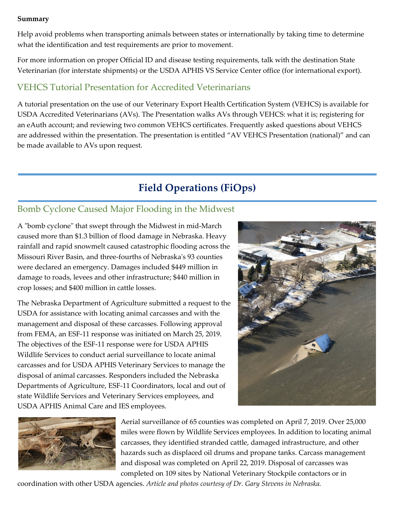#### **Summary**

Help avoid problems when transporting animals between states or internationally by taking time to determine what the identification and test requirements are prior to movement.

For more information on proper Official ID and disease testing requirements, talk with the destination State Veterinarian (for interstate shipments) or the USDA APHIS VS Service Center office (for international export).

## VEHCS Tutorial Presentation for Accredited Veterinarians

A tutorial presentation on the use of our Veterinary Export Health Certification System (VEHCS) is available for USDA Accredited Veterinarians (AVs). The Presentation walks AVs through VEHCS: what it is; registering for an eAuth account; and reviewing two common VEHCS certificates. Frequently asked questions about VEHCS are addressed within the presentation. The presentation is entitled "AV VEHCS Presentation (national)" and can be made available to AVs upon request.

# **Field Operations (FiOps)**

### Bomb Cyclone Caused Major Flooding in the Midwest

A "bomb cyclone" that swept through the Midwest in mid-March caused more than \$1.3 billion of flood damage in Nebraska. Heavy rainfall and rapid snowmelt caused catastrophic flooding across the Missouri River Basin, and three-fourths of Nebraska's 93 counties were declared an emergency. Damages included \$449 million in damage to roads, levees and other infrastructure; \$440 million in crop losses; and \$400 million in cattle losses.

The Nebraska Department of Agriculture submitted a request to the USDA for assistance with locating animal carcasses and with the management and disposal of these carcasses. Following approval from FEMA, an ESF-11 response was initiated on March 25, 2019. The objectives of the ESF-11 response were for USDA APHIS Wildlife Services to conduct aerial surveillance to locate animal carcasses and for USDA APHIS Veterinary Services to manage the disposal of animal carcasses. Responders included the Nebraska Departments of Agriculture, ESF-11 Coordinators, local and out of state Wildlife Services and Veterinary Services employees, and USDA APHIS Animal Care and IES employees.





Aerial surveillance of 65 counties was completed on April 7, 2019. Over 25,000 miles were flown by Wildlife Services employees. In addition to locating animal carcasses, they identified stranded cattle, damaged infrastructure, and other hazards such as displaced oil drums and propane tanks. Carcass management and disposal was completed on April 22, 2019. Disposal of carcasses was completed on 109 sites by National Veterinary Stockpile contactors or in

coordination with other USDA agencies. *Article and photos courtesy of Dr. Gary Stevens in Nebraska.*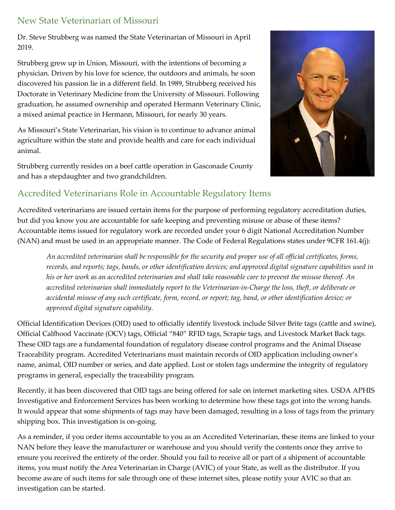## New State Veterinarian of Missouri

Dr. Steve Strubberg was named the State Veterinarian of Missouri in April 2019.

Strubberg grew up in Union, Missouri, with the intentions of becoming a physician. Driven by his love for science, the outdoors and animals, he soon discovered his passion lie in a different field. In 1989, Strubberg received his Doctorate in Veterinary Medicine from the University of Missouri. Following graduation, he assumed ownership and operated Hermann Veterinary Clinic, a mixed animal practice in Hermann, Missouri, for nearly 30 years.

As Missouri's State Veterinarian, his vision is to continue to advance animal agriculture within the state and provide health and care for each individual animal.

Strubberg currently resides on a beef cattle operation in Gasconade County and has a stepdaughter and two grandchildren.



#### Accredited Veterinarians Role in Accountable Regulatory Items

Accredited veterinarians are issued certain items for the purpose of performing regulatory accreditation duties, but did you know you are accountable for safe keeping and preventing misuse or abuse of these items? Accountable items issued for regulatory work are recorded under your 6 digit National Accreditation Number (NAN) and must be used in an appropriate manner. The Code of Federal Regulations states under 9CFR 161.4(j):

*An accredited veterinarian shall be responsible for the security and proper use of all official certificates, forms, records, and reports; tags, bands, or other identification devices; and approved digital signature capabilities used in his or her work as an accredited veterinarian and shall take reasonable care to prevent the misuse thereof. An accredited veterinarian shall immediately report to the Veterinarian-in-Charge the loss, theft, or deliberate or accidental misuse of any such certificate, form, record, or report; tag, band, or other identification device; or approved digital signature capability.*

Official Identification Devices (OID) used to officially identify livestock include Silver Brite tags (cattle and swine), Official Calfhood Vaccinate (OCV) tags, Official "840" RFID tags, Scrapie tags, and Livestock Market Back tags. These OID tags are a fundamental foundation of regulatory disease control programs and the Animal Disease Traceability program. Accredited Veterinarians must maintain records of OID application including owner's name, animal, OID number or series, and date applied. Lost or stolen tags undermine the integrity of regulatory programs in general, especially the traceability program.

Recently, it has been discovered that OID tags are being offered for sale on internet marketing sites. USDA APHIS Investigative and Enforcement Services has been working to determine how these tags got into the wrong hands. It would appear that some shipments of tags may have been damaged, resulting in a loss of tags from the primary shipping box. This investigation is on-going.

As a reminder, if you order items accountable to you as an Accredited Veterinarian, these items are linked to your NAN before they leave the manufacturer or warehouse and you should verify the contents once they arrive to ensure you received the entirety of the order. Should you fail to receive all or part of a shipment of accountable items, you must notify the Area Veterinarian in Charge (AVIC) of your State, as well as the distributor. If you become aware of such items for sale through one of these internet sites, please notify your AVIC so that an investigation can be started.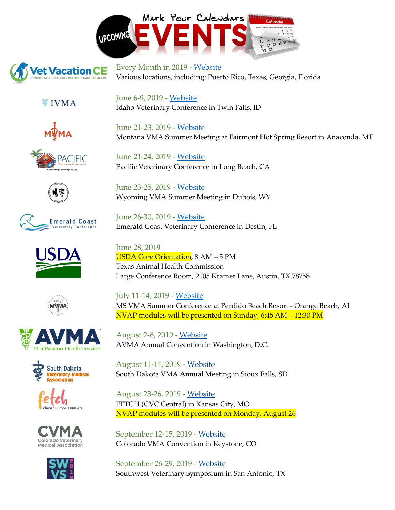



Every Month in 2019 - [Website](https://www.vetvacationce.com/) Various locations, including: Puerto Rico, Texas, Georgia, Florida

**▼ IVMA** 



















Colorado Veterinary **Medical Association** 



June 6-9, 2019 - [Website](https://www.ivma.org/summermeeting/) Idaho Veterinary Conference in Twin Falls, ID

June 21-23, 2019 - [Website](https://www.mtvma.org/index.php?option=com_mc&view=mc&mcid=72&eventId=546833&orgId=mtvma) Montana VMA Summer Meeting at Fairmont Hot Spring Resort in Anaconda, MT

June 21-24, 2019 - [Website](https://pacvet.net/long-beach/) Pacific Veterinary Conference in Long Beach, CA

June 23-25, 2019 - [Website](https://www.wyvma.org/ce-events/2018-wvma-summer-meeting/) Wyoming VMA Summer Meeting in Dubois, WY

June 26-30, 2019 - [Website](https://emeraldcoastvc.com/) Emerald Coast Veterinary Conference in Destin, FL

June 28, 2019 USDA Core Orientation, 8 AM – 5 PM Texas Animal Health Commission Large Conference Room, 2105 Kramer Lane, Austin, TX 78758

July 11-14, 2019 - [Website](https://msvet.org/page/SummerConference) MS VMA Summer Conference at Perdido Beach Resort - Orange Beach, AL NVAP modules will be presented on Sunday, 6:45 AM – 12:30 PM

August 2-6, 2019 - [Website](https://www.avma.org/Events/Convention/Pages/default.aspx) AVMA Annual Convention in Washington, D.C.

August 11-14, 2019 - [Website](https://sdvetmed.org/events/sdvma-annual-meeting/) South Dakota VMA Annual Meeting in Sioux Falls, SD

August 23-26, 2019 - [Website](https://www.fetchdvm360.com/fetch-dvm360-veterinary-conference-kansas-city/) FETCH (CVC Central) in Kansas City, MO NVAP modules will be presented on Monday, August 26

September 12-15, 2019 - [Website](http://colovma.org/cvma-ce-events/) Colorado VMA Convention in Keystone, CO

September 26-29, 2019 - [Website](https://www.swvs.org/) Southwest Veterinary Symposium in San Antonio, TX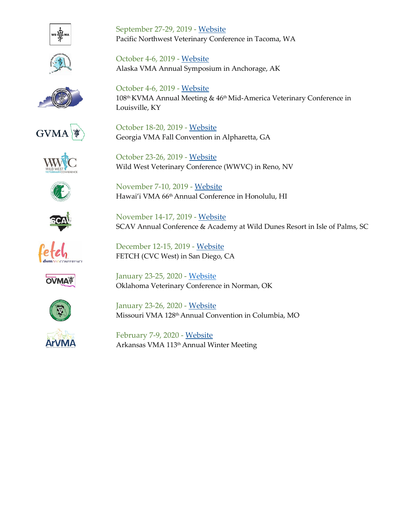





SCAV Annual Conference & Academy at Wild Dunes Resort in Isle of Palms, SC

Pacific Northwest Veterinary Conference in Tacoma, WA

Alaska VMA Annual Symposium in Anchorage, AK

Georgia VMA Fall Convention in Alpharetta, GA

Wild West Veterinary Conference (WWVC) in Reno, NV

Hawai'i VMA 66th Annual Conference in Honolulu, HI

**GVMA** 









January 23-25, 2020 - [Website](https://okvma.org/events/ovma-convention/) Oklahoma Veterinary Conference in Norman, OK



January 23-26, 2020 - [Website](https://www.movma.org/page/20) Missouri VMA 128<sup>th</sup> Annual Convention in Columbia, MO



September 27-29, 2019 - [Website](https://wsvma.org/pacific-northwest-veterinary-conference/save-the-date/)

October 4-6, 2019 - [Website](https://www.akvma.org/2018symposium/)

October 18-20, 2019 - [Website](https://www.gvma.net/ce-events/)

October 23-26, 2019 - [Website](https://wildwest.vetshow.com/)

November 7-10, 2019 - [Website](https://hawaiivetmed.org/2019conference/)

November 14-17, 2019 - [Website](http://www.scav.org/2018-scav-annual-conference/)

December 12-15, 2019 - [Website](https://www.fetchdvm360.com/fetch-dvm360-veterinary-conference-san-diego/) FETCH (CVC West) in San Diego, CA